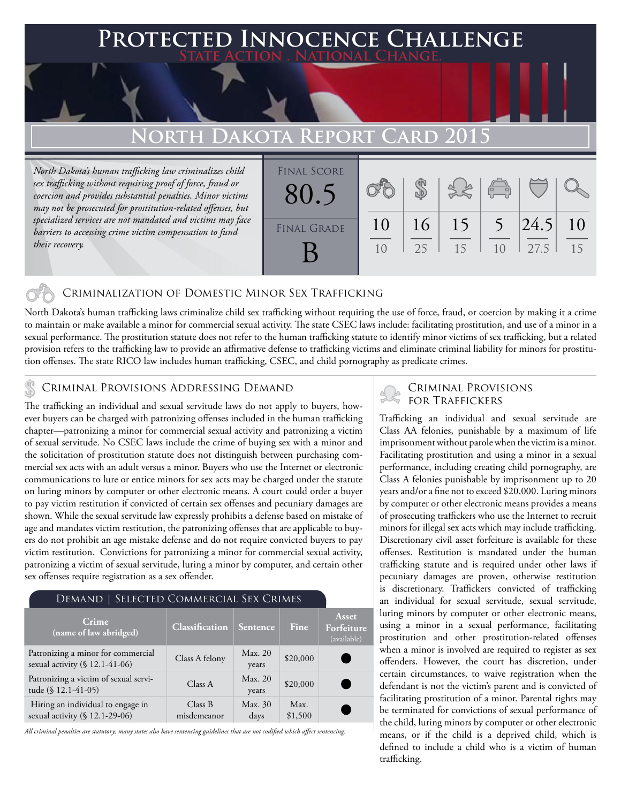### **Protected Innocence Challenge State Action . National Change.**

## **North Dakota Report Card 2015**

*North Dakota's human trafficking law criminalizes child sex trafficking without requiring proof of force, fraud or coercion and provides substantial penalties. Minor victims may not be prosecuted for prostitution-related offenses, but specialized services are not mandated and victims may face barriers to accessing crime victim compensation to fund their recovery.*

| <b>FINAL SCORE</b><br>80.5 |          |          |          | $\overline{C}$ |              |          |
|----------------------------|----------|----------|----------|----------------|--------------|----------|
| <b>FINAL GRADE</b>         | 10<br>10 | 16<br>25 | 15<br>15 | 1 <sub>0</sub> | 24.5<br>27.5 | 10<br>15 |

#### Criminalization of Domestic Minor Sex Trafficking

North Dakota's human trafficking laws criminalize child sex trafficking without requiring the use of force, fraud, or coercion by making it a crime to maintain or make available a minor for commercial sexual activity. The state CSEC laws include: facilitating prostitution, and use of a minor in a sexual performance. The prostitution statute does not refer to the human trafficking statute to identify minor victims of sex trafficking, but a related provision refers to the trafficking law to provide an affirmative defense to trafficking victims and eliminate criminal liability for minors for prostitution offenses. The state RICO law includes human trafficking, CSEC, and child pornography as predicate crimes.

# CRIMINAL PROVISIONS ADDRESSING DEMAND<br>The trafficking an individual and sexual sexuals laws do not apply to buyers how FOR TRAFFICKERS

The trafficking an individual and sexual servitude laws do not apply to buyers, however buyers can be charged with patronizing offenses included in the human trafficking chapter—patronizing a minor for commercial sexual activity and patronizing a victim of sexual servitude. No CSEC laws include the crime of buying sex with a minor and the solicitation of prostitution statute does not distinguish between purchasing commercial sex acts with an adult versus a minor. Buyers who use the Internet or electronic communications to lure or entice minors for sex acts may be charged under the statute on luring minors by computer or other electronic means. A court could order a buyer to pay victim restitution if convicted of certain sex offenses and pecuniary damages are shown. While the sexual servitude law expressly prohibits a defense based on mistake of age and mandates victim restitution, the patronizing offenses that are applicable to buyers do not prohibit an age mistake defense and do not require convicted buyers to pay victim restitution. Convictions for patronizing a minor for commercial sexual activity, patronizing a victim of sexual servitude, luring a minor by computer, and certain other sex offenses require registration as a sex offender.

#### Demand | Selected Commercial Sex Crimes

| Crime<br>(name of law abridged)                                      | <b>Classification</b>  | Sentence         | Fine            | Asset<br>Forfeiture<br>(available) |
|----------------------------------------------------------------------|------------------------|------------------|-----------------|------------------------------------|
| Patronizing a minor for commercial<br>sexual activity (§ 12.1-41-06) | Class A felony         | Max. 20<br>years | \$20,000        |                                    |
| Patronizing a victim of sexual servi-<br>tude (§ 12.1-41-05)         | Class A                | Max. 20<br>years | \$20,000        |                                    |
| Hiring an individual to engage in<br>sexual activity (§ 12.1-29-06)  | Class B<br>misdemeanor | Max. 30<br>days  | Max.<br>\$1,500 |                                    |

*All criminal penalties are statutory; many states also have sentencing guidelines that are not codified which affect sentencing.* 

Trafficking an individual and sexual servitude are Class AA felonies, punishable by a maximum of life imprisonment without parole when the victim is a minor. Facilitating prostitution and using a minor in a sexual performance, including creating child pornography, are Class A felonies punishable by imprisonment up to 20 years and/or a fine not to exceed \$20,000. Luring minors by computer or other electronic means provides a means of prosecuting traffickers who use the Internet to recruit minors for illegal sex acts which may include trafficking. Discretionary civil asset forfeiture is available for these offenses. Restitution is mandated under the human trafficking statute and is required under other laws if pecuniary damages are proven, otherwise restitution is discretionary. Traffickers convicted of trafficking an individual for sexual servitude, sexual servitude, luring minors by computer or other electronic means, using a minor in a sexual performance, facilitating prostitution and other prostitution-related offenses when a minor is involved are required to register as sex offenders. However, the court has discretion, under certain circumstances, to waive registration when the defendant is not the victim's parent and is convicted of facilitating prostitution of a minor. Parental rights may be terminated for convictions of sexual performance of the child, luring minors by computer or other electronic means, or if the child is a deprived child, which is defined to include a child who is a victim of human trafficking.